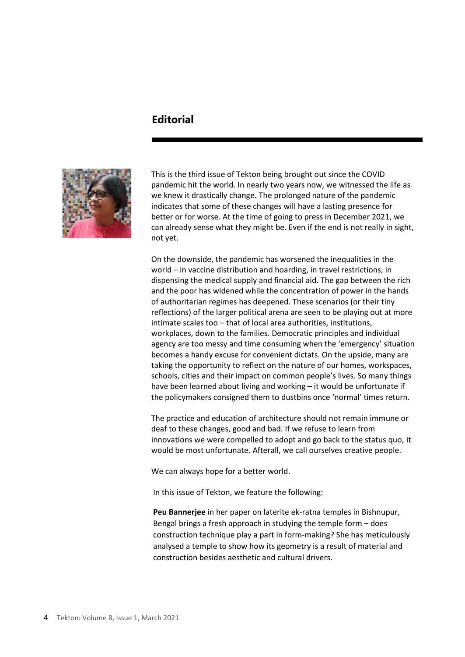## **Editorial**



This is the third issue of Tekton being brought out since the COVID pandemic hit the world. In nearly two years now, we witnessed the life as we knew it drastically change. The prolonged nature of the pandemic indicates that some of these changes will have a lasting presence for better or for worse. At the time of going to press in December 2021, we can already sense what they might be. Even if the end is not really in sight, not yet.

On the downside, the pandemic has worsened the inequalities in the world – in vaccine distribution and hoarding, in travel restrictions, in dispensing the medical supply and financial aid. The gap between the rich and the poor has widened while the concentration of power in the hands of authoritarian regimes has deepened. These scenarios (or their tiny reflections) of the larger political arena are seen to be playing out at more intimate scales too – that of local area authorities, institutions, workplaces, down to the families. Democratic principles and individual agency are too messy and time consuming when the 'emergency' situation becomes a handy excuse for convenient dictats. On the upside, many are taking the opportunity to reflect on the nature of our homes, workspaces, schools, cities and their impact on common people's lives. So many things have been learned about living and working – it would be unfortunate if the policymakers consigned them to dustbins once 'normal' times return.

The practice and education of architecture should not remain immune or deaf to these changes, good and bad. If we refuse to learn from innovations we were compelled to adopt and go back to the status quo, it would be most unfortunate. Afterall, we call ourselves creative people.

We can always hope for a better world.

In this issue of Tekton, we feature the following:

**Peu Bannerjee** in her paper on laterite ek-ratna temples in Bishnupur, Bengal brings a fresh approach in studying the temple form – does construction technique play a part in form-making? She has meticulously analysed a temple to show how its geometry is a result of material and construction besides aesthetic and cultural drivers.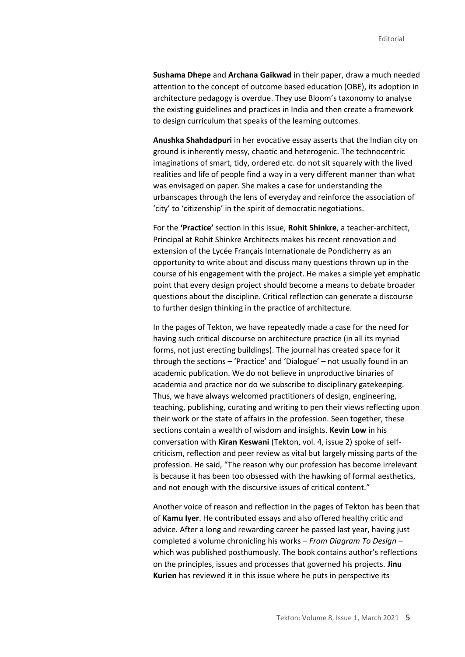**Sushama Dhepe** and **Archana Gaikwad** in their paper, draw a much needed attention to the concept of outcome based education (OBE), its adoption in architecture pedagogy is overdue. They use Bloom's taxonomy to analyse the existing guidelines and practices in India and then create a framework to design curriculum that speaks of the learning outcomes.

**Anushka Shahdadpuri** in her evocative essay asserts that the Indian city on ground is inherently messy, chaotic and heterogenic. The technocentric imaginations of smart, tidy, ordered etc. do not sit squarely with the lived realities and life of people find a way in a very different manner than what was envisaged on paper. She makes a case for understanding the urbanscapes through the lens of everyday and reinforce the association of 'city' to 'citizenship' in the spirit of democratic negotiations.

For the **'Practice'** section in this issue, **Rohit Shinkre**, a teacher-architect, Principal at Rohit Shinkre Architects makes his recent renovation and extension of the Lycée Français Internationale de Pondicherry as an opportunity to write about and discuss many questions thrown up in the course of his engagement with the project. He makes a simple yet emphatic point that every design project should become a means to debate broader questions about the discipline. Critical reflection can generate a discourse to further design thinking in the practice of architecture.

In the pages of Tekton, we have repeatedly made a case for the need for having such critical discourse on architecture practice (in all its myriad forms, not just erecting buildings). The journal has created space for it through the sections – 'Practice' and 'Dialogue' – not usually found in an academic publication. We do not believe in unproductive binaries of academia and practice nor do we subscribe to disciplinary gatekeeping. Thus, we have always welcomed practitioners of design, engineering, teaching, publishing, curating and writing to pen their views reflecting upon their work or the state of affairs in the profession. Seen together, these sections contain a wealth of wisdom and insights. **Kevin Low** in his conversation with **Kiran Keswani** (Tekton, vol. 4, issue 2) spoke of selfcriticism, reflection and peer review as vital but largely missing parts of the profession. He said, "The reason why our profession has become irrelevant is because it has been too obsessed with the hawking of formal aesthetics, and not enough with the discursive issues of critical content."

Another voice of reason and reflection in the pages of Tekton has been that of **Kamu Iyer**. He contributed essays and also offered healthy critic and advice. After a long and rewarding career he passed last year, having just completed a volume chronicling his works – *From Diagram To Design* – which was published posthumously. The book contains author's reflections on the principles, issues and processes that governed his projects. **Jinu Kurien** has reviewed it in this issue where he puts in perspective its